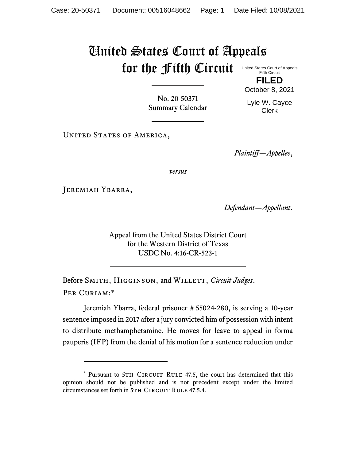## United States Court of Appeals for the Fifth Circuit United States Court of Appeals

Fifth Circuit **FILED**

October 8, 2021

No. 20-50371 Summary Calendar

Lyle W. Cayce Clerk

UNITED STATES OF AMERICA,

*Plaintiff—Appellee*,

*versus*

Jeremiah Ybarra,

*Defendant—Appellant*.

Appeal from the United States District Court for the Western District of Texas USDC No. 4:16-CR-523-1

Before SMITH, HIGGINSON, and WILLETT, *Circuit Judges*. Per Curiam:\*

Jeremiah Ybarra, federal prisoner # 55024-280, is serving a 10-year sentence imposed in 2017 after a jury convicted him of possession with intent to distribute methamphetamine. He moves for leave to appeal in forma pauperis (IFP) from the denial of his motion for a sentence reduction under

<sup>\*</sup> Pursuant to 5TH CIRCUIT RULE 47.5, the court has determined that this opinion should not be published and is not precedent except under the limited circumstances set forth in 5TH CIRCUIT RULE 47.5.4.